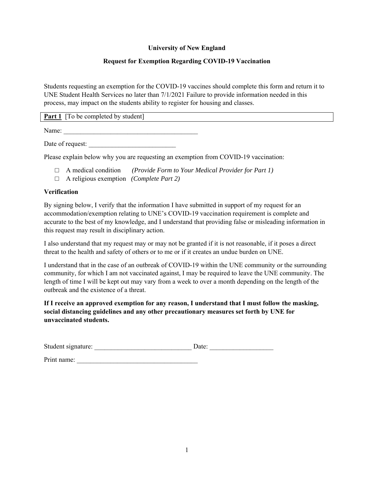## **University of New England**

## **Request for Exemption Regarding COVID-19 Vaccination**

Students requesting an exemption for the COVID-19 vaccines should complete this form and return it to UNE Student Health Services no later than 7/1/2021 Failure to provide information needed in this process, may impact on the students ability to register for housing and classes.

**Part 1** [To be completed by student]

Name:

Date of request:

Please explain below why you are requesting an exemption from COVID-19 vaccination:

- □ A medical condition *(Provide Form to Your Medical Provider for Part 1)*
- □ A religious exemption *(Complete Part 2)*

## **Verification**

By signing below, I verify that the information I have submitted in support of my request for an accommodation/exemption relating to UNE's COVID-19 vaccination requirement is complete and accurate to the best of my knowledge, and I understand that providing false or misleading information in this request may result in disciplinary action.

I also understand that my request may or may not be granted if it is not reasonable, if it poses a direct threat to the health and safety of others or to me or if it creates an undue burden on UNE.

I understand that in the case of an outbreak of COVID-19 within the UNE community or the surrounding community, for which I am not vaccinated against, I may be required to leave the UNE community. The length of time I will be kept out may vary from a week to over a month depending on the length of the outbreak and the existence of a threat.

**If I receive an approved exemption for any reason, I understand that I must follow the masking, social distancing guidelines and any other precautionary measures set forth by UNE for unvaccinated students.** 

| Student signature: |  |  |  |
|--------------------|--|--|--|
|--------------------|--|--|--|

Print name: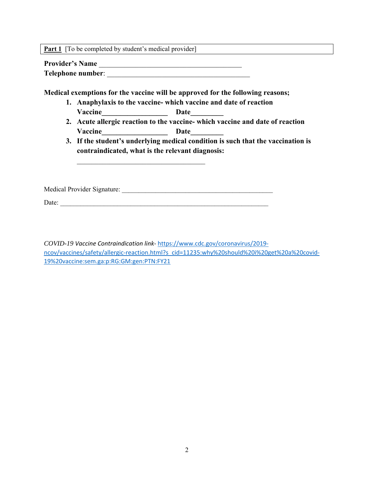**Part 1** [To be completed by student's medical provider]

**Provider's Name** \_\_\_\_\_\_\_\_\_\_\_\_\_\_\_\_\_\_\_\_\_\_\_\_\_\_\_\_\_\_\_\_\_\_\_\_\_\_\_

**Telephone number**: \_\_\_\_\_\_\_\_\_\_\_\_\_\_\_\_\_\_\_\_\_\_\_\_\_\_\_\_\_\_\_\_\_\_\_\_\_\_\_

**Medical exemptions for the vaccine will be approved for the following reasons;** 

- **1. Anaphylaxis to the vaccine- which vaccine and date of reaction** Vaccine **Date**
- **2. Acute allergic reaction to the vaccine- which vaccine and date of reaction Vaccine\_\_\_\_\_\_\_\_\_\_\_\_\_\_\_\_\_\_ Date\_\_\_\_\_\_\_\_\_**
- **3. If the student's underlying medical condition is such that the vaccination is contraindicated, what is the relevant diagnosis:**

Medical Provider Signature: \_\_\_\_\_\_\_\_\_\_\_\_\_\_\_\_\_\_\_\_\_\_\_\_\_\_\_\_\_\_\_\_\_\_\_\_\_\_\_\_\_\_\_\_\_

Date:

*COVID-19 Vaccine Contraindication link*‐ https://www.cdc.gov/coronavirus/2019‐ ncov/vaccines/safety/allergic-reaction.html?s\_cid=11235:why%20should%20i%20get%20a%20covid-19%20vaccine:sem.ga:p:RG:GM:gen:PTN:FY21